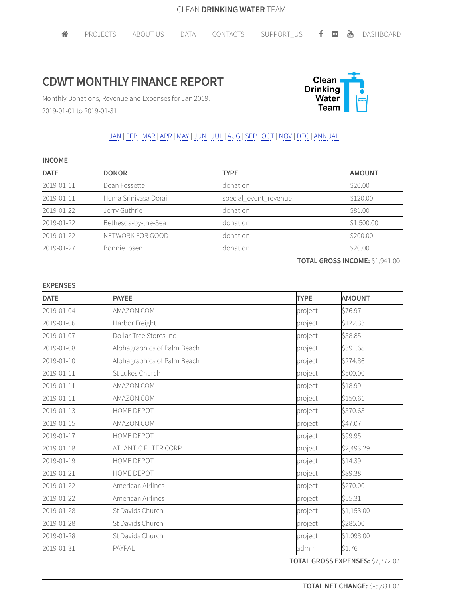## **CDWT MONTHLY FINANCE REPORT**



Monthly Donations, Revenue and Expenses for Jan 2019. 2019-01-01 to 2019-01-31

## | JAN | FEB |MAR |APR |MAY | JUN | JUL | AUG |SEP | OCT | NOV | DEC | ANNUAL

| <b>INCOME</b> |                      |                       |                                       |  |
|---------------|----------------------|-----------------------|---------------------------------------|--|
| <b>DATE</b>   | <b>DONOR</b>         | <b>TYPE</b>           | <b>AMOUNT</b>                         |  |
| 2019-01-11    | Dean Fessette        | donation              | \$20.00                               |  |
| 2019-01-11    | Hema Sriniyasa Dorai | special_event_revenue | \$120.00                              |  |
| 2019-01-22    | Jerry Guthrie        | donation              | \$81.00                               |  |
| 2019-01-22    | Bethesda-by-the-Sea  | donation              | \$1,500.00                            |  |
| 2019-01-22    | NETWORK FOR GOOD     | donation              | \$200.00                              |  |
| 2019-01-27    | Bonnie Ibsen         | donation              | \$20.00                               |  |
|               |                      |                       | <b>TOTAL GROSS INCOME: \$1,941.00</b> |  |

| <b>EXPENSES</b> |                             |                                  |                                      |
|-----------------|-----------------------------|----------------------------------|--------------------------------------|
| <b>DATE</b>     | <b>PAYEE</b>                | <b>TYPE</b>                      | <b>AMOUNT</b>                        |
| 2019-01-04      | AMAZON.COM                  | project                          | \$76.97                              |
| 2019-01-06      | Harbor Freight              | project                          | \$122.33                             |
| 2019-01-07      | Dollar Tree Stores Inc      | project                          | \$58.85                              |
| 2019-01-08      | Alphagraphics of Palm Beach | project                          | \$391.68                             |
| 2019-01-10      | Alphagraphics of Palm Beach | project                          | \$274.86                             |
| 2019-01-11      | St Lukes Church             | project                          | \$500.00                             |
| 2019-01-11      | AMAZON.COM                  | project                          | \$18.99                              |
| 2019-01-11      | AMAZON.COM                  | project                          | \$150.61                             |
| 2019-01-13      | HOME DEPOT                  | project                          | \$570.63                             |
| 2019-01-15      | AMAZON.COM                  | project                          | \$47.07                              |
| 2019-01-17      | HOME DEPOT                  | project                          | \$99.95                              |
| 2019-01-18      | ATLANTIC FILTER CORP        | project                          | \$2,493.29                           |
| 2019-01-19      | <b>HOME DEPOT</b>           | project                          | \$14.39                              |
| 2019-01-21      | HOME DEPOT                  | project                          | \$89.38                              |
| 2019-01-22      | American Airlines           | project                          | \$270.00                             |
| 2019-01-22      | American Airlines           | project                          | \$55.31                              |
| 2019-01-28      | St Davids Church            | project                          | \$1,153.00                           |
| 2019-01-28      | St Davids Church            | project                          | \$285.00                             |
| 2019-01-28      | St Davids Church            | project                          | \$1,098.00                           |
| 2019-01-31      | PAYPAL                      | admin                            | \$1.76                               |
|                 |                             | TOTAL GROSS EXPENSES: \$7,772.07 |                                      |
|                 |                             |                                  |                                      |
|                 |                             |                                  | <b>TOTAL NET CHANGE: \$-5,831.07</b> |